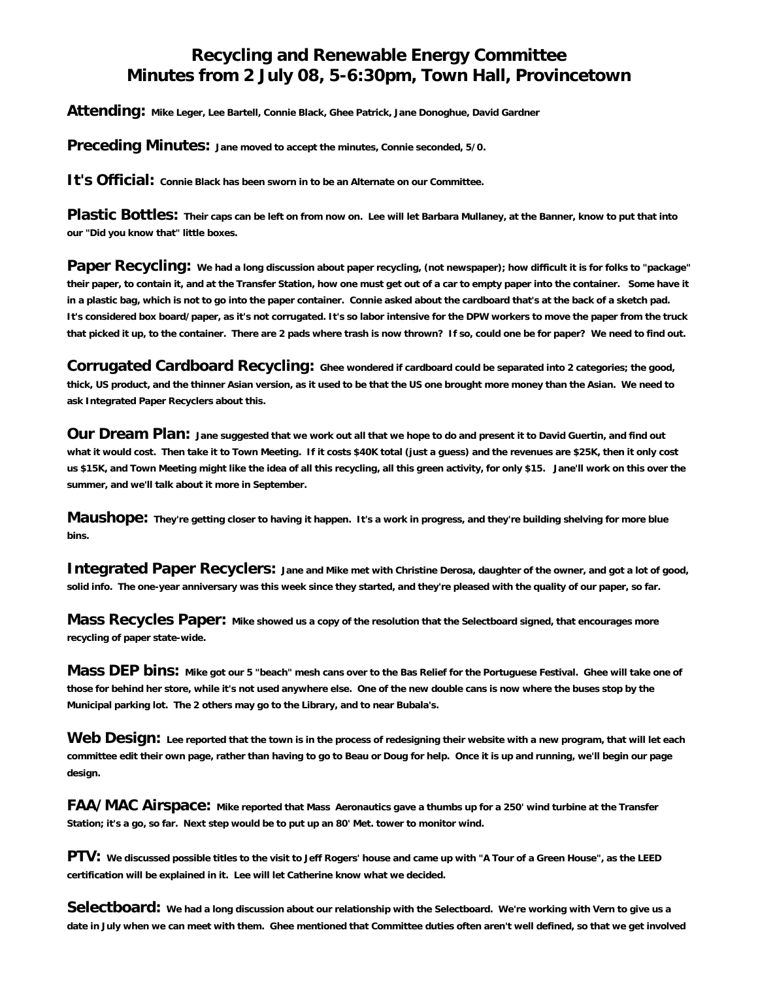## **Recycling and Renewable Energy Committee Minutes from 2 July 08, 5-6:30pm, Town Hall, Provincetown**

**Attending: Mike Leger, Lee Bartell, Connie Black, Ghee Patrick, Jane Donoghue, David Gardner**

**Preceding Minutes: Jane moved to accept the minutes, Connie seconded, 5/0.**

**It's Official: Connie Black has been sworn in to be an Alternate on our Committee.**

Plastic Bottles: Their caps can be left on from now on. Lee will let Barbara Mullaney, at the Banner, know to put that into **our "Did you know that" little boxes.**

**Paper Recycling:** We had a long discussion about paper recycling, (not newspaper); how difficult it is for folks to "package" **their paper, to contain it, and at the Transfer Station, how one must get out of a car to empty paper into the container. Some have it in a plastic bag, which is not to go into the paper container. Connie asked about the cardboard that's at the back of a sketch pad. It's considered box board/paper, as it's not corrugated. It's so labor intensive for the DPW workers to move the paper from the truck that picked it up, to the container. There are 2 pads where trash is now thrown? If so, could one be for paper? We need to find out.**

**Corrugated Cardboard Recycling: Ghee wondered if cardboard could be separated into 2 categories; the good, thick, US product, and the thinner Asian version, as it used to be that the US one brought more money than the Asian. We need to ask Integrated Paper Recyclers about this.**

Our Dream Plan: Jane suggested that we work out all that we hope to do and present it to David Guertin, and find out **what it would cost. Then take it to Town Meeting. If it costs \$40K total (just a guess) and the revenues are \$25K, then it only cost us \$15K, and Town Meeting might like the idea of all this recycling, all this green activity, for only \$15. Jane'll work on this over the summer, and we'll talk about it more in September.**

**Maushope: They're getting closer to having it happen. It's a work in progress, and they're building shelving for more blue bins.**

**Integrated Paper Recyclers:** Jane and Mike met with Christine Derosa, daughter of the owner, and got a lot of good, **solid info. The one-year anniversary was this week since they started, and they're pleased with the quality of our paper, so far.** 

**Mass Recycles Paper: Mike showed us a copy of the resolution that the Selectboard signed, that encourages more recycling of paper state-wide.**

Mass DEP bins: Mike got our 5 "beach" mesh cans over to the Bas Relief for the Portuguese Festival. Ghee will take one of **those for behind her store, while it's not used anywhere else. One of the new double cans is now where the buses stop by the Municipal parking lot. The 2 others may go to the Library, and to near Bubala's.**

**Web Design: Lee reported that the town is in the process of redesigning their website with a new program, that will let each committee edit their own page, rather than having to go to Beau or Doug for help. Once it is up and running, we'll begin our page design.** 

**FAA/MAC Airspace: Mike reported that Mass Aeronautics gave a thumbs up for a 250' wind turbine at the Transfer Station; it's a go, so far. Next step would be to put up an 80' Met. tower to monitor wind.**

**PTV: We discussed possible titles to the visit to Jeff Rogers' house and came up with "A Tour of a Green House", as the LEED certification will be explained in it. Lee will let Catherine know what we decided.**

**Selectboard: We had a long discussion about our relationship with the Selectboard. We're working with Vern to give us a date in July when we can meet with them. Ghee mentioned that Committee duties often aren't well defined, so that we get involved**